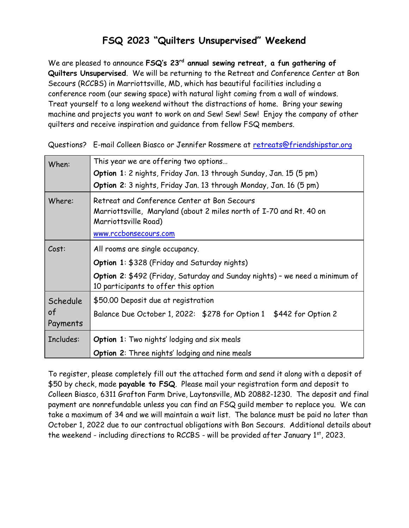## FSQ 2023 "Quilters Unsupervised" Weekend

We are pleased to announce FSQ's 23<sup>rd</sup> annual sewing retreat, a fun gathering of Quilters Unsupervised. We will be returning to the Retreat and Conference Center at Bon Secours (RCCBS) in Marriottsville, MD, which has beautiful facilities including a conference room (our sewing space) with natural light coming from a wall of windows. Treat yourself to a long weekend without the distractions of home. Bring your sewing machine and projects you want to work on and Sew! Sew! Sew! Enjoy the company of other quilters and receive inspiration and guidance from fellow FSQ members.

Questions? E-mail Colleen Biasco or Jennifer Rossmere at retreats@friendshipstar.org

| When:                      | This year we are offering two options                                                                                                                                                                  |  |  |
|----------------------------|--------------------------------------------------------------------------------------------------------------------------------------------------------------------------------------------------------|--|--|
|                            | Option 1: 2 nights, Friday Jan. 13 through Sunday, Jan. 15 (5 pm)                                                                                                                                      |  |  |
|                            | Option 2: 3 nights, Friday Jan. 13 through Monday, Jan. 16 (5 pm)                                                                                                                                      |  |  |
| Where:                     | Retreat and Conference Center at Bon Secours<br>Marriottsville, Maryland (about 2 miles north of I-70 and Rt. 40 on<br>Marriottsville Road)<br>www.rccbonsecours.com                                   |  |  |
| Cost:                      | All rooms are single occupancy.<br>Option 1: \$328 (Friday and Saturday nights)<br>Option 2: \$492 (Friday, Saturday and Sunday nights) - we need a minimum of<br>10 participants to offer this option |  |  |
| Schedule<br>of<br>Payments | \$50.00 Deposit due at registration<br>Balance Due October 1, 2022: \$278 for Option 1 \$442 for Option 2                                                                                              |  |  |
| Includes:                  | <b>Option 1:</b> Two nights' lodging and six meals                                                                                                                                                     |  |  |
|                            | <b>Option 2:</b> Three nights' lodging and nine meals                                                                                                                                                  |  |  |

To register, please completely fill out the attached form and send it along with a deposit of \$50 by check, made payable to FSQ. Please mail your registration form and deposit to Colleen Biasco, 6311 Grafton Farm Drive, Laytonsville, MD 20882-1230. The deposit and final payment are nonrefundable unless you can find an FSQ guild member to replace you. We can take a maximum of 34 and we will maintain a wait list. The balance must be paid no later than October 1, 2022 due to our contractual obligations with Bon Secours. Additional details about the weekend - including directions to RCCBS - will be provided after January 1st, 2023.